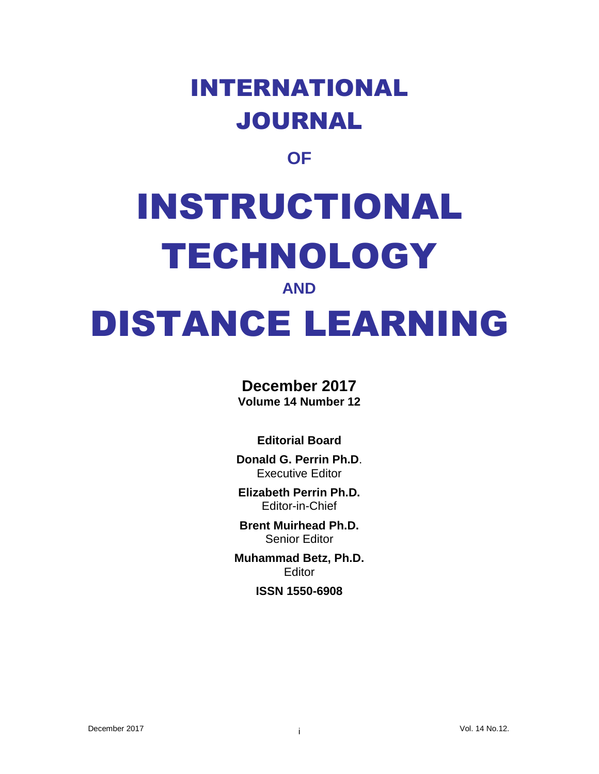## INTERNATIONAL JOURNAL

## **OF**

# INSTRUCTIONAL TECHNOLOGY

#### **AND**

## DISTANCE LEARNING

### **December 2017**

**Volume 14 Number 12**

#### **Editorial Board**

**Donald G. Perrin Ph.D**. Executive Editor

**Elizabeth Perrin Ph.D.** Editor-in-Chief

**Brent Muirhead Ph.D.** Senior Editor

**Muhammad Betz, Ph.D. Editor** 

#### **ISSN 1550-6908**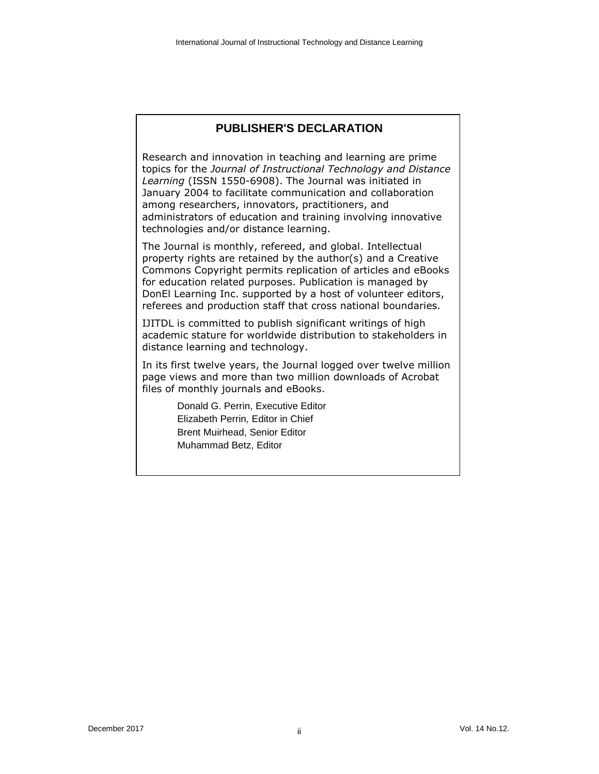#### **PUBLISHER'S DECLARATION**

Research and innovation in teaching and learning are prime topics for the *Journal of Instructional Technology and Distance Learning* (ISSN 1550-6908). The Journal was initiated in January 2004 to facilitate communication and collaboration among researchers, innovators, practitioners, and administrators of education and training involving innovative technologies and/or distance learning.

The Journal is monthly, refereed, and global. Intellectual property rights are retained by the author(s) and a Creative Commons Copyright permits replication of articles and eBooks for education related purposes. Publication is managed by DonEl Learning Inc. supported by a host of volunteer editors, referees and production staff that cross national boundaries.

IJITDL is committed to publish significant writings of high academic stature for worldwide distribution to stakeholders in distance learning and technology.

In its first twelve years, the Journal logged over twelve million page views and more than two million downloads of Acrobat files of monthly journals and eBooks.

> Donald G. Perrin, Executive Editor Elizabeth Perrin, Editor in Chief Brent Muirhead, Senior Editor Muhammad Betz, Editor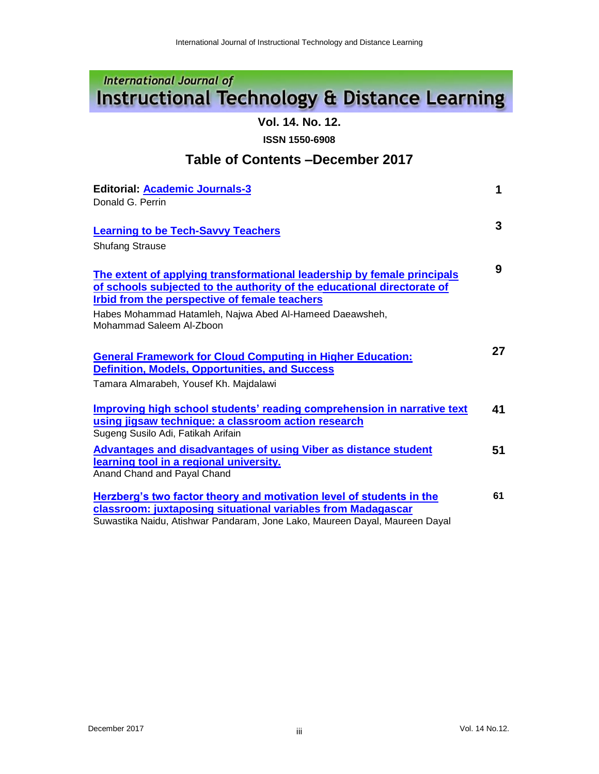### **International Journal of Instructional Technology & Distance Learning**

**Vol. 14. No. 12.**

**ISSN 1550-6908**

#### **Table of Contents –December 2017**

| <b>Editorial: Academic Journals-3</b>                                                                                                                                                                               | 1  |
|---------------------------------------------------------------------------------------------------------------------------------------------------------------------------------------------------------------------|----|
| Donald G. Perrin                                                                                                                                                                                                    |    |
| <b>Learning to be Tech-Savvy Teachers</b>                                                                                                                                                                           | 3  |
| <b>Shufang Strause</b>                                                                                                                                                                                              |    |
| The extent of applying transformational leadership by female principals<br>of schools subjected to the authority of the educational directorate of                                                                  | 9  |
| Irbid from the perspective of female teachers<br>Habes Mohammad Hatamleh, Najwa Abed Al-Hameed Daeawsheh,<br>Mohammad Saleem Al-Zboon                                                                               |    |
|                                                                                                                                                                                                                     |    |
| <b>General Framework for Cloud Computing in Higher Education:</b><br><b>Definition, Models, Opportunities, and Success</b>                                                                                          | 27 |
| Tamara Almarabeh, Yousef Kh. Majdalawi                                                                                                                                                                              |    |
| Improving high school students' reading comprehension in narrative text<br>using jigsaw technique: a classroom action research<br>Sugeng Susilo Adi, Fatikah Arifain                                                | 41 |
| <b>Advantages and disadvantages of using Viber as distance student</b><br>learning tool in a regional university.<br>Anand Chand and Payal Chand                                                                    | 51 |
| Herzberg's two factor theory and motivation level of students in the<br>classroom: juxtaposing situational variables from Madagascar<br>Suwastika Naidu, Atishwar Pandaram, Jone Lako, Maureen Dayal, Maureen Dayal | 61 |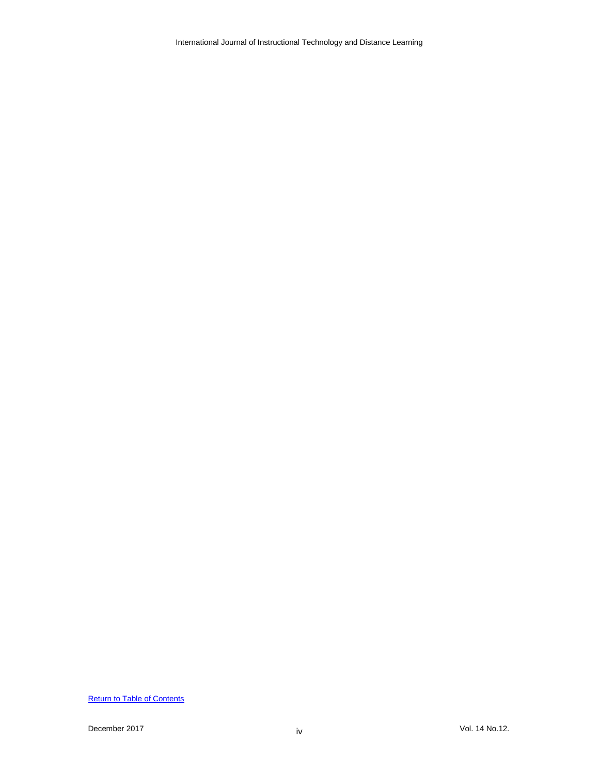International Journal of Instructional Technology and Distance Learning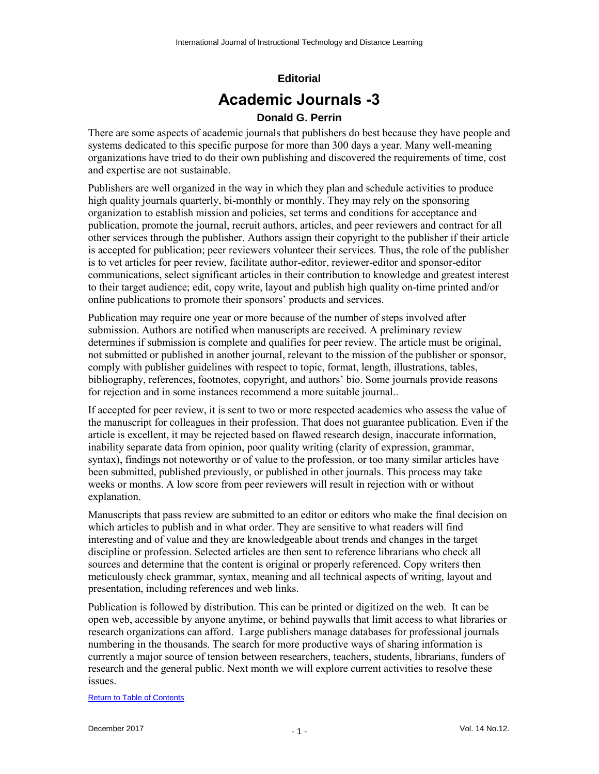## **Editorial Academic Journals -3**

#### **Donald G. Perrin**

There are some aspects of academic journals that publishers do best because they have people and systems dedicated to this specific purpose for more than 300 days a year. Many well-meaning organizations have tried to do their own publishing and discovered the requirements of time, cost and expertise are not sustainable.

Publishers are well organized in the way in which they plan and schedule activities to produce high quality journals quarterly, bi-monthly or monthly. They may rely on the sponsoring organization to establish mission and policies, set terms and conditions for acceptance and publication, promote the journal, recruit authors, articles, and peer reviewers and contract for all other services through the publisher. Authors assign their copyright to the publisher if their article is accepted for publication; peer reviewers volunteer their services. Thus, the role of the publisher is to vet articles for peer review, facilitate author-editor, reviewer-editor and sponsor-editor communications, select significant articles in their contribution to knowledge and greatest interest to their target audience; edit, copy write, layout and publish high quality on-time printed and/or online publications to promote their sponsors' products and services.

Publication may require one year or more because of the number of steps involved after submission. Authors are notified when manuscripts are received. A preliminary review determines if submission is complete and qualifies for peer review. The article must be original, not submitted or published in another journal, relevant to the mission of the publisher or sponsor, comply with publisher guidelines with respect to topic, format, length, illustrations, tables, bibliography, references, footnotes, copyright, and authors' bio. Some journals provide reasons for rejection and in some instances recommend a more suitable journal..

If accepted for peer review, it is sent to two or more respected academics who assess the value of the manuscript for colleagues in their profession. That does not guarantee publication. Even if the article is excellent, it may be rejected based on flawed research design, inaccurate information, inability separate data from opinion, poor quality writing (clarity of expression, grammar, syntax), findings not noteworthy or of value to the profession, or too many similar articles have been submitted, published previously, or published in other journals. This process may take weeks or months. A low score from peer reviewers will result in rejection with or without explanation.

Manuscripts that pass review are submitted to an editor or editors who make the final decision on which articles to publish and in what order. They are sensitive to what readers will find interesting and of value and they are knowledgeable about trends and changes in the target discipline or profession. Selected articles are then sent to reference librarians who check all sources and determine that the content is original or properly referenced. Copy writers then meticulously check grammar, syntax, meaning and all technical aspects of writing, layout and presentation, including references and web links.

Publication is followed by distribution. This can be printed or digitized on the web. It can be open web, accessible by anyone anytime, or behind paywalls that limit access to what libraries or research organizations can afford. Large publishers manage databases for professional journals numbering in the thousands. The search for more productive ways of sharing information is currently a major source of tension between researchers, teachers, students, librarians, funders of research and the general public. Next month we will explore current activities to resolve these issues.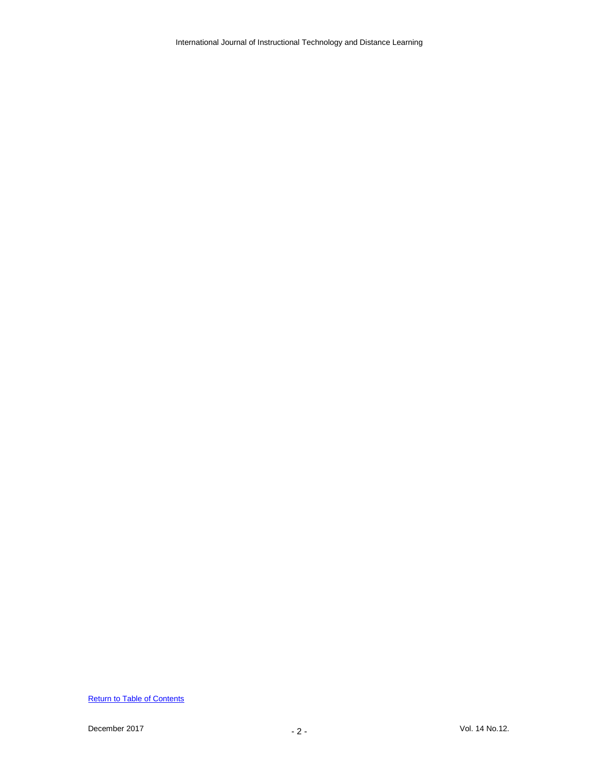International Journal of Instructional Technology and Distance Learning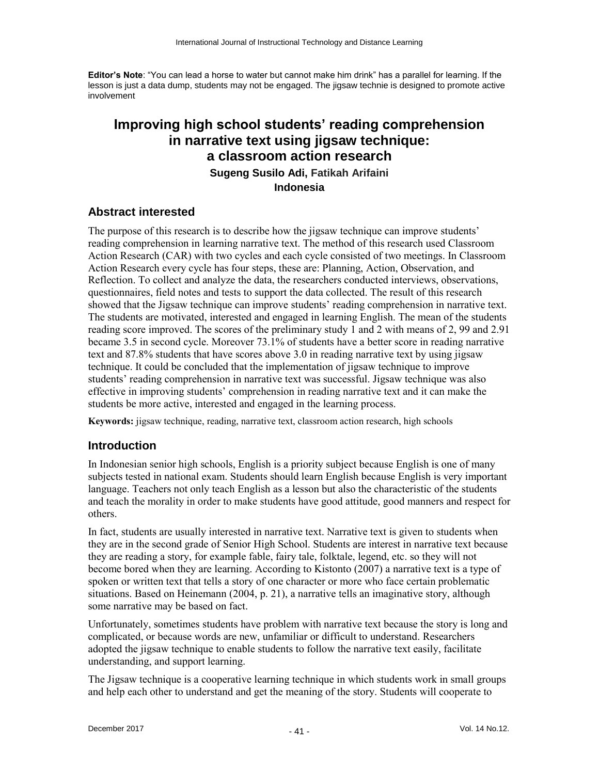**Editor's Note**: "You can lead a horse to water but cannot make him drink" has a parallel for learning. If the lesson is just a data dump, students may not be engaged. The jigsaw technie is designed to promote active involvement

#### **Improving high school students' reading comprehension in narrative text using jigsaw technique: a classroom action research Sugeng Susilo Adi, Fatikah Arifaini Indonesia**

#### **Abstract interested**

The purpose of this research is to describe how the jigsaw technique can improve students' reading comprehension in learning narrative text. The method of this research used Classroom Action Research (CAR) with two cycles and each cycle consisted of two meetings. In Classroom Action Research every cycle has four steps, these are: Planning, Action, Observation, and Reflection. To collect and analyze the data, the researchers conducted interviews, observations, questionnaires, field notes and tests to support the data collected. The result of this research showed that the Jigsaw technique can improve students' reading comprehension in narrative text. The students are motivated, interested and engaged in learning English. The mean of the students reading score improved. The scores of the preliminary study 1 and 2 with means of 2, 99 and 2.91 became 3.5 in second cycle. Moreover 73.1% of students have a better score in reading narrative text and 87.8% students that have scores above 3.0 in reading narrative text by using jigsaw technique. It could be concluded that the implementation of jigsaw technique to improve students' reading comprehension in narrative text was successful. Jigsaw technique was also effective in improving students' comprehension in reading narrative text and it can make the students be more active, interested and engaged in the learning process.

**Keywords:** jigsaw technique, reading, narrative text, classroom action research, high schools

#### **Introduction**

In Indonesian senior high schools, English is a priority subject because English is one of many subjects tested in national exam. Students should learn English because English is very important language. Teachers not only teach English as a lesson but also the characteristic of the students and teach the morality in order to make students have good attitude, good manners and respect for others.

In fact, students are usually interested in narrative text. Narrative text is given to students when they are in the second grade of Senior High School. Students are interest in narrative text because they are reading a story, for example fable, fairy tale, folktale, legend, etc. so they will not become bored when they are learning. According to Kistonto (2007) a narrative text is a type of spoken or written text that tells a story of one character or more who face certain problematic situations. Based on Heinemann (2004, p. 21), a narrative tells an imaginative story, although some narrative may be based on fact.

Unfortunately, sometimes students have problem with narrative text because the story is long and complicated, or because words are new, unfamiliar or difficult to understand. Researchers adopted the jigsaw technique to enable students to follow the narrative text easily, facilitate understanding, and support learning.

The Jigsaw technique is a cooperative learning technique in which students work in small groups and help each other to understand and get the meaning of the story. Students will cooperate to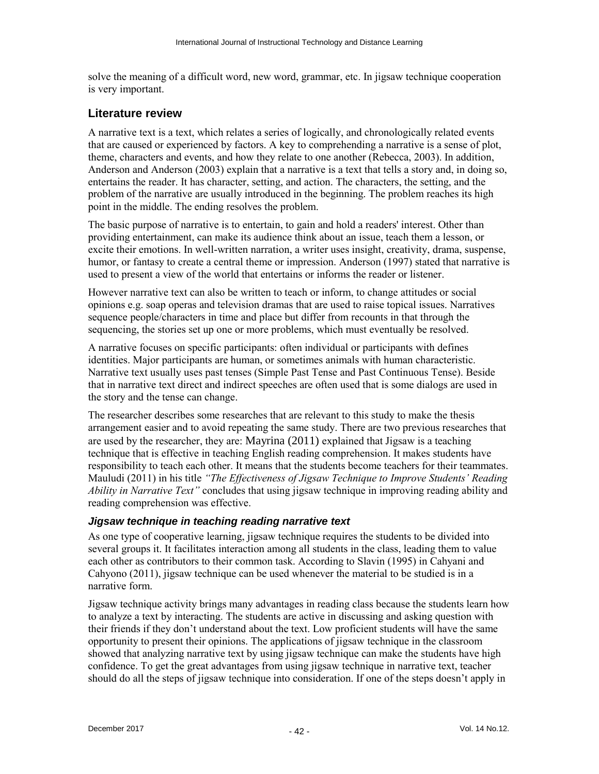solve the meaning of a difficult word, new word, grammar, etc. In jigsaw technique cooperation is very important.

#### **Literature review**

A narrative text is a text, which relates a series of logically, and chronologically related events that are caused or experienced by factors. A key to comprehending a narrative is a sense of plot, theme, characters and events, and how they relate to one another (Rebecca, 2003). In addition, Anderson and Anderson (2003) explain that a narrative is a text that tells a story and, in doing so, entertains the reader. It has character, setting, and action. The characters, the setting, and the problem of the narrative are usually introduced in the beginning. The problem reaches its high point in the middle. The ending resolves the problem.

The basic purpose of narrative is to entertain, to gain and hold a readers' interest. Other than providing entertainment, can make its audience think about an issue, teach them a lesson, or excite their emotions. In well-written narration, a writer uses insight, creativity, drama, suspense, humor, or fantasy to create a central theme or impression. Anderson (1997) stated that narrative is used to present a view of the world that entertains or informs the reader or listener.

However narrative text can also be written to teach or inform, to change attitudes or social opinions e.g. soap operas and television dramas that are used to raise topical issues. Narratives sequence people/characters in time and place but differ from recounts in that through the sequencing, the stories set up one or more problems, which must eventually be resolved.

A narrative focuses on specific participants: often individual or participants with defines identities. Major participants are human, or sometimes animals with human characteristic. Narrative text usually uses past tenses (Simple Past Tense and Past Continuous Tense). Beside that in narrative text direct and indirect speeches are often used that is some dialogs are used in the story and the tense can change.

The researcher describes some researches that are relevant to this study to make the thesis arrangement easier and to avoid repeating the same study. There are two previous researches that are used by the researcher, they are: Mayrina (2011) explained that Jigsaw is a teaching technique that is effective in teaching English reading comprehension. It makes students have responsibility to teach each other. It means that the students become teachers for their teammates. Mauludi (2011) in his title *"The Effectiveness of Jigsaw Technique to Improve Students' Reading Ability in Narrative Text"* concludes that using jigsaw technique in improving reading ability and reading comprehension was effective.

#### *Jigsaw technique in teaching reading narrative text*

As one type of cooperative learning, jigsaw technique requires the students to be divided into several groups it. It facilitates interaction among all students in the class, leading them to value each other as contributors to their common task. According to Slavin (1995) in Cahyani and Cahyono (2011), jigsaw technique can be used whenever the material to be studied is in a narrative form.

Jigsaw technique activity brings many advantages in reading class because the students learn how to analyze a text by interacting. The students are active in discussing and asking question with their friends if they don't understand about the text. Low proficient students will have the same opportunity to present their opinions. The applications of jigsaw technique in the classroom showed that analyzing narrative text by using jigsaw technique can make the students have high confidence. To get the great advantages from using jigsaw technique in narrative text, teacher should do all the steps of jigsaw technique into consideration. If one of the steps doesn't apply in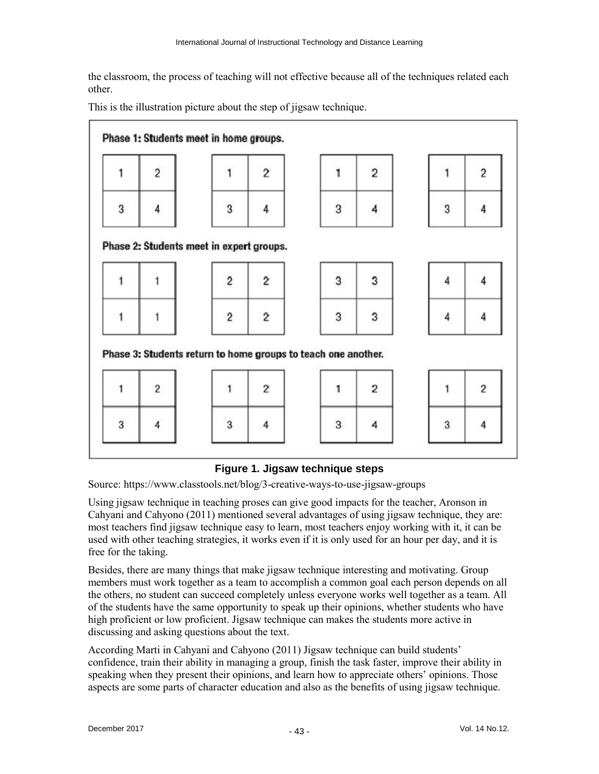the classroom, the process of teaching will not effective because all of the techniques related each other.

This is the illustration picture about the step of jigsaw technique.



#### **Figure 1. Jigsaw technique steps**

Source: https://www.classtools.net/blog/3-creative-ways-to-use-jigsaw-groups

Using jigsaw technique in teaching proses can give good impacts for the teacher, Aronson in Cahyani and Cahyono (2011) mentioned several advantages of using jigsaw technique, they are: most teachers find jigsaw technique easy to learn, most teachers enjoy working with it, it can be used with other teaching strategies, it works even if it is only used for an hour per day, and it is free for the taking.

Besides, there are many things that make jigsaw technique interesting and motivating. Group members must work together as a team to accomplish a common goal each person depends on all the others, no student can succeed completely unless everyone works well together as a team. All of the students have the same opportunity to speak up their opinions, whether students who have high proficient or low proficient. Jigsaw technique can makes the students more active in discussing and asking questions about the text.

According Marti in Cahyani and Cahyono (2011) Jigsaw technique can build students' confidence, train their ability in managing a group, finish the task faster, improve their ability in speaking when they present their opinions, and learn how to appreciate others' opinions. Those aspects are some parts of character education and also as the benefits of using jigsaw technique.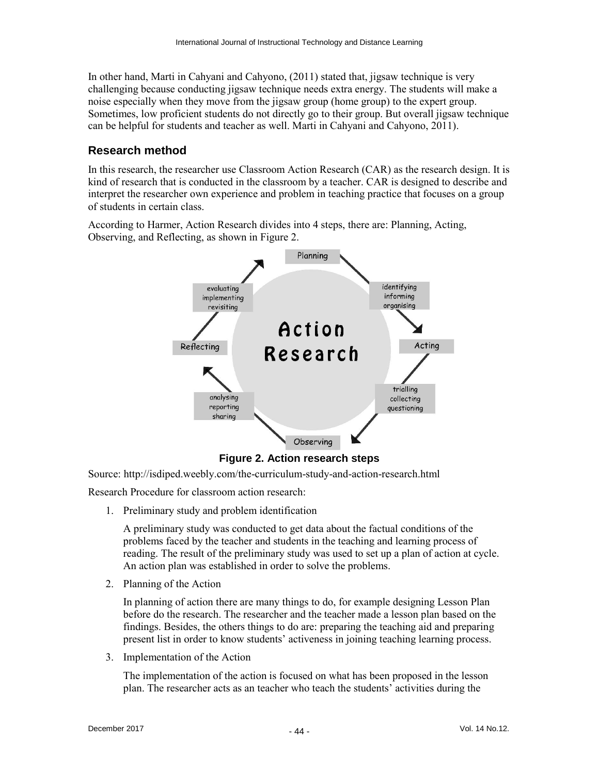In other hand, Marti in Cahyani and Cahyono, (2011) stated that, jigsaw technique is very challenging because conducting jigsaw technique needs extra energy. The students will make a noise especially when they move from the jigsaw group (home group) to the expert group. Sometimes, low proficient students do not directly go to their group. But overall jigsaw technique can be helpful for students and teacher as well. Marti in Cahyani and Cahyono, 2011).

#### **Research method**

In this research, the researcher use Classroom Action Research (CAR) as the research design. It is kind of research that is conducted in the classroom by a teacher. CAR is designed to describe and interpret the researcher own experience and problem in teaching practice that focuses on a group of students in certain class.

According to Harmer, Action Research divides into 4 steps, there are: Planning, Acting, Observing, and Reflecting, as shown in Figure 2.



**Figure 2. Action research steps**

Source: http://isdiped.weebly.com/the-curriculum-study-and-action-research.html

Research Procedure for classroom action research:

1. Preliminary study and problem identification

A preliminary study was conducted to get data about the factual conditions of the problems faced by the teacher and students in the teaching and learning process of reading. The result of the preliminary study was used to set up a plan of action at cycle. An action plan was established in order to solve the problems.

2. Planning of the Action

In planning of action there are many things to do, for example designing Lesson Plan before do the research. The researcher and the teacher made a lesson plan based on the findings. Besides, the others things to do are: preparing the teaching aid and preparing present list in order to know students' activeness in joining teaching learning process.

3. Implementation of the Action

The implementation of the action is focused on what has been proposed in the lesson plan. The researcher acts as an teacher who teach the students' activities during the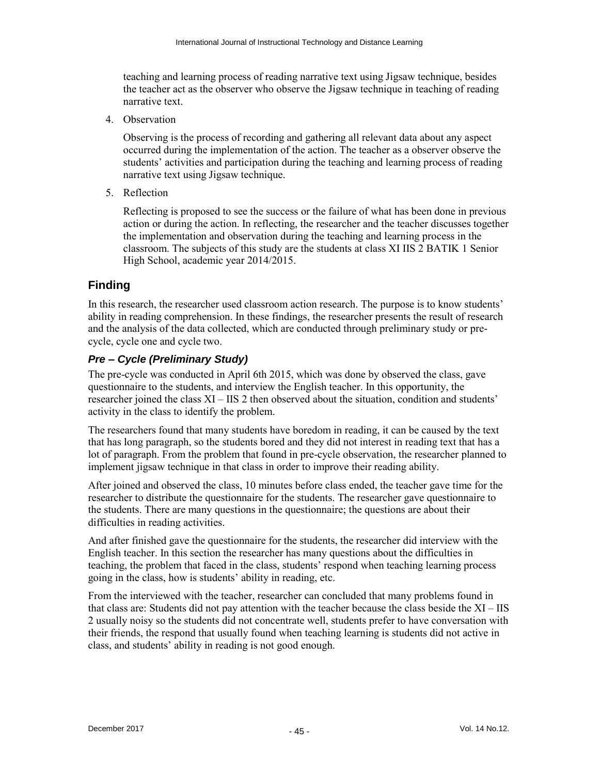teaching and learning process of reading narrative text using Jigsaw technique, besides the teacher act as the observer who observe the Jigsaw technique in teaching of reading narrative text.

4. Observation

Observing is the process of recording and gathering all relevant data about any aspect occurred during the implementation of the action. The teacher as a observer observe the students' activities and participation during the teaching and learning process of reading narrative text using Jigsaw technique.

5. Reflection

Reflecting is proposed to see the success or the failure of what has been done in previous action or during the action. In reflecting, the researcher and the teacher discusses together the implementation and observation during the teaching and learning process in the classroom. The subjects of this study are the students at class XI IIS 2 BATIK 1 Senior High School, academic year 2014/2015.

#### **Finding**

In this research, the researcher used classroom action research. The purpose is to know students' ability in reading comprehension. In these findings, the researcher presents the result of research and the analysis of the data collected, which are conducted through preliminary study or precycle, cycle one and cycle two.

#### *Pre – Cycle (Preliminary Study)*

The pre-cycle was conducted in April 6th 2015, which was done by observed the class, gave questionnaire to the students, and interview the English teacher. In this opportunity, the researcher joined the class XI – IIS 2 then observed about the situation, condition and students' activity in the class to identify the problem.

The researchers found that many students have boredom in reading, it can be caused by the text that has long paragraph, so the students bored and they did not interest in reading text that has a lot of paragraph. From the problem that found in pre-cycle observation, the researcher planned to implement jigsaw technique in that class in order to improve their reading ability.

After joined and observed the class, 10 minutes before class ended, the teacher gave time for the researcher to distribute the questionnaire for the students. The researcher gave questionnaire to the students. There are many questions in the questionnaire; the questions are about their difficulties in reading activities.

And after finished gave the questionnaire for the students, the researcher did interview with the English teacher. In this section the researcher has many questions about the difficulties in teaching, the problem that faced in the class, students' respond when teaching learning process going in the class, how is students' ability in reading, etc.

From the interviewed with the teacher, researcher can concluded that many problems found in that class are: Students did not pay attention with the teacher because the class beside the XI – IIS 2 usually noisy so the students did not concentrate well, students prefer to have conversation with their friends, the respond that usually found when teaching learning is students did not active in class, and students' ability in reading is not good enough.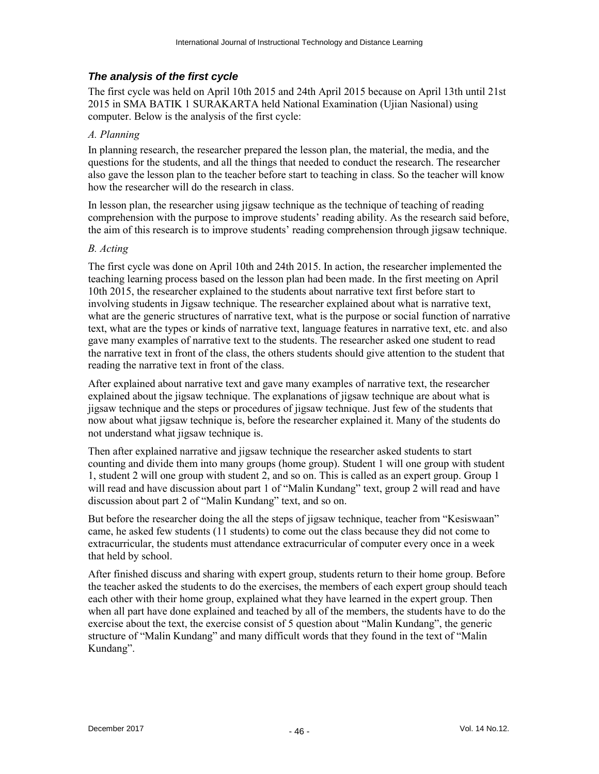#### *The analysis of the first cycle*

The first cycle was held on April 10th 2015 and 24th April 2015 because on April 13th until 21st 2015 in SMA BATIK 1 SURAKARTA held National Examination (Ujian Nasional) using computer. Below is the analysis of the first cycle:

#### *A. Planning*

In planning research, the researcher prepared the lesson plan, the material, the media, and the questions for the students, and all the things that needed to conduct the research. The researcher also gave the lesson plan to the teacher before start to teaching in class. So the teacher will know how the researcher will do the research in class.

In lesson plan, the researcher using jigsaw technique as the technique of teaching of reading comprehension with the purpose to improve students' reading ability. As the research said before, the aim of this research is to improve students' reading comprehension through jigsaw technique.

#### *B. Acting*

The first cycle was done on April 10th and 24th 2015. In action, the researcher implemented the teaching learning process based on the lesson plan had been made. In the first meeting on April 10th 2015, the researcher explained to the students about narrative text first before start to involving students in Jigsaw technique. The researcher explained about what is narrative text, what are the generic structures of narrative text, what is the purpose or social function of narrative text, what are the types or kinds of narrative text, language features in narrative text, etc. and also gave many examples of narrative text to the students. The researcher asked one student to read the narrative text in front of the class, the others students should give attention to the student that reading the narrative text in front of the class.

After explained about narrative text and gave many examples of narrative text, the researcher explained about the jigsaw technique. The explanations of jigsaw technique are about what is jigsaw technique and the steps or procedures of jigsaw technique. Just few of the students that now about what jigsaw technique is, before the researcher explained it. Many of the students do not understand what jigsaw technique is.

Then after explained narrative and jigsaw technique the researcher asked students to start counting and divide them into many groups (home group). Student 1 will one group with student 1, student 2 will one group with student 2, and so on. This is called as an expert group. Group 1 will read and have discussion about part 1 of "Malin Kundang" text, group 2 will read and have discussion about part 2 of "Malin Kundang" text, and so on.

But before the researcher doing the all the steps of jigsaw technique, teacher from "Kesiswaan" came, he asked few students (11 students) to come out the class because they did not come to extracurricular, the students must attendance extracurricular of computer every once in a week that held by school.

After finished discuss and sharing with expert group, students return to their home group. Before the teacher asked the students to do the exercises, the members of each expert group should teach each other with their home group, explained what they have learned in the expert group. Then when all part have done explained and teached by all of the members, the students have to do the exercise about the text, the exercise consist of 5 question about "Malin Kundang", the generic structure of "Malin Kundang" and many difficult words that they found in the text of "Malin Kundang".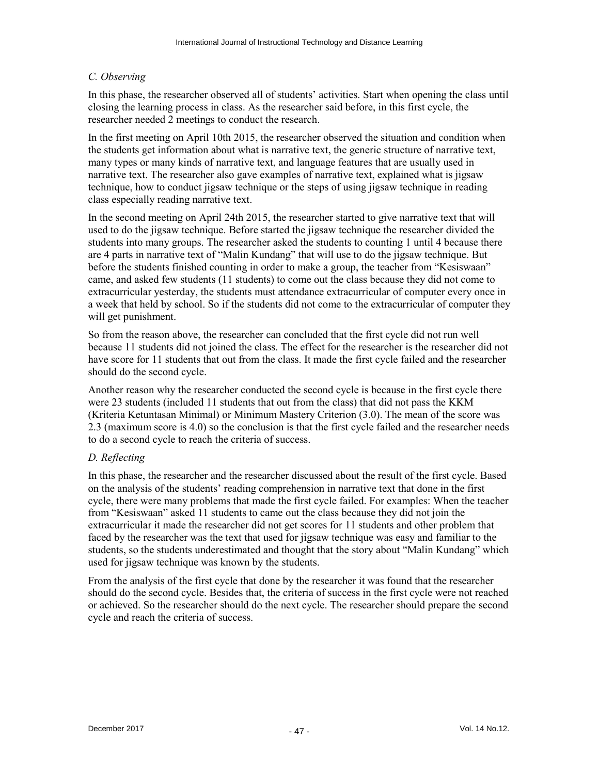#### *C. Observing*

In this phase, the researcher observed all of students' activities. Start when opening the class until closing the learning process in class. As the researcher said before, in this first cycle, the researcher needed 2 meetings to conduct the research.

In the first meeting on April 10th 2015, the researcher observed the situation and condition when the students get information about what is narrative text, the generic structure of narrative text, many types or many kinds of narrative text, and language features that are usually used in narrative text. The researcher also gave examples of narrative text, explained what is jigsaw technique, how to conduct jigsaw technique or the steps of using jigsaw technique in reading class especially reading narrative text.

In the second meeting on April 24th 2015, the researcher started to give narrative text that will used to do the jigsaw technique. Before started the jigsaw technique the researcher divided the students into many groups. The researcher asked the students to counting 1 until 4 because there are 4 parts in narrative text of "Malin Kundang" that will use to do the jigsaw technique. But before the students finished counting in order to make a group, the teacher from "Kesiswaan" came, and asked few students (11 students) to come out the class because they did not come to extracurricular yesterday, the students must attendance extracurricular of computer every once in a week that held by school. So if the students did not come to the extracurricular of computer they will get punishment.

So from the reason above, the researcher can concluded that the first cycle did not run well because 11 students did not joined the class. The effect for the researcher is the researcher did not have score for 11 students that out from the class. It made the first cycle failed and the researcher should do the second cycle.

Another reason why the researcher conducted the second cycle is because in the first cycle there were 23 students (included 11 students that out from the class) that did not pass the KKM (Kriteria Ketuntasan Minimal) or Minimum Mastery Criterion (3.0). The mean of the score was 2.3 (maximum score is 4.0) so the conclusion is that the first cycle failed and the researcher needs to do a second cycle to reach the criteria of success.

#### *D. Reflecting*

In this phase, the researcher and the researcher discussed about the result of the first cycle. Based on the analysis of the students' reading comprehension in narrative text that done in the first cycle, there were many problems that made the first cycle failed. For examples: When the teacher from "Kesiswaan" asked 11 students to came out the class because they did not join the extracurricular it made the researcher did not get scores for 11 students and other problem that faced by the researcher was the text that used for jigsaw technique was easy and familiar to the students, so the students underestimated and thought that the story about "Malin Kundang" which used for jigsaw technique was known by the students.

From the analysis of the first cycle that done by the researcher it was found that the researcher should do the second cycle. Besides that, the criteria of success in the first cycle were not reached or achieved. So the researcher should do the next cycle. The researcher should prepare the second cycle and reach the criteria of success.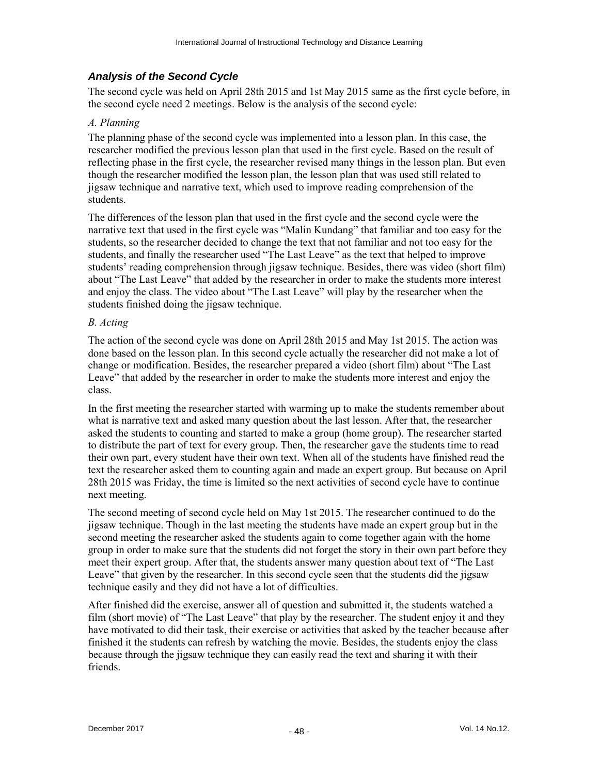#### *Analysis of the Second Cycle*

The second cycle was held on April 28th 2015 and 1st May 2015 same as the first cycle before, in the second cycle need 2 meetings. Below is the analysis of the second cycle:

#### *A. Planning*

The planning phase of the second cycle was implemented into a lesson plan. In this case, the researcher modified the previous lesson plan that used in the first cycle. Based on the result of reflecting phase in the first cycle, the researcher revised many things in the lesson plan. But even though the researcher modified the lesson plan, the lesson plan that was used still related to jigsaw technique and narrative text, which used to improve reading comprehension of the students.

The differences of the lesson plan that used in the first cycle and the second cycle were the narrative text that used in the first cycle was "Malin Kundang" that familiar and too easy for the students, so the researcher decided to change the text that not familiar and not too easy for the students, and finally the researcher used "The Last Leave" as the text that helped to improve students' reading comprehension through jigsaw technique. Besides, there was video (short film) about "The Last Leave" that added by the researcher in order to make the students more interest and enjoy the class. The video about "The Last Leave" will play by the researcher when the students finished doing the jigsaw technique.

#### *B. Acting*

The action of the second cycle was done on April 28th 2015 and May 1st 2015. The action was done based on the lesson plan. In this second cycle actually the researcher did not make a lot of change or modification. Besides, the researcher prepared a video (short film) about "The Last Leave" that added by the researcher in order to make the students more interest and enjoy the class.

In the first meeting the researcher started with warming up to make the students remember about what is narrative text and asked many question about the last lesson. After that, the researcher asked the students to counting and started to make a group (home group). The researcher started to distribute the part of text for every group. Then, the researcher gave the students time to read their own part, every student have their own text. When all of the students have finished read the text the researcher asked them to counting again and made an expert group. But because on April 28th 2015 was Friday, the time is limited so the next activities of second cycle have to continue next meeting.

The second meeting of second cycle held on May 1st 2015. The researcher continued to do the jigsaw technique. Though in the last meeting the students have made an expert group but in the second meeting the researcher asked the students again to come together again with the home group in order to make sure that the students did not forget the story in their own part before they meet their expert group. After that, the students answer many question about text of "The Last Leave" that given by the researcher. In this second cycle seen that the students did the jigsaw technique easily and they did not have a lot of difficulties.

After finished did the exercise, answer all of question and submitted it, the students watched a film (short movie) of "The Last Leave" that play by the researcher. The student enjoy it and they have motivated to did their task, their exercise or activities that asked by the teacher because after finished it the students can refresh by watching the movie. Besides, the students enjoy the class because through the jigsaw technique they can easily read the text and sharing it with their friends.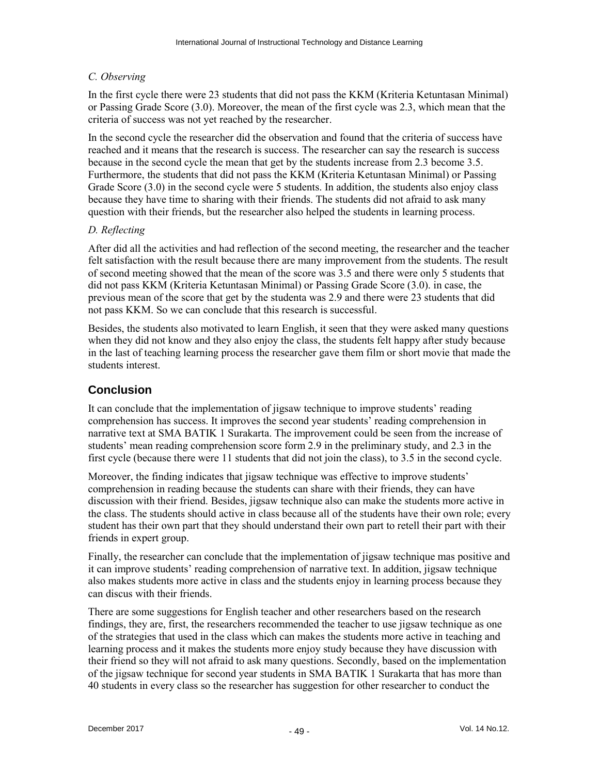#### *C. Observing*

In the first cycle there were 23 students that did not pass the KKM (Kriteria Ketuntasan Minimal) or Passing Grade Score (3.0). Moreover, the mean of the first cycle was 2.3, which mean that the criteria of success was not yet reached by the researcher.

In the second cycle the researcher did the observation and found that the criteria of success have reached and it means that the research is success. The researcher can say the research is success because in the second cycle the mean that get by the students increase from 2.3 become 3.5. Furthermore, the students that did not pass the KKM (Kriteria Ketuntasan Minimal) or Passing Grade Score (3.0) in the second cycle were 5 students. In addition, the students also enjoy class because they have time to sharing with their friends. The students did not afraid to ask many question with their friends, but the researcher also helped the students in learning process.

#### *D. Reflecting*

After did all the activities and had reflection of the second meeting, the researcher and the teacher felt satisfaction with the result because there are many improvement from the students. The result of second meeting showed that the mean of the score was 3.5 and there were only 5 students that did not pass KKM (Kriteria Ketuntasan Minimal) or Passing Grade Score (3.0). in case, the previous mean of the score that get by the studenta was 2.9 and there were 23 students that did not pass KKM. So we can conclude that this research is successful.

Besides, the students also motivated to learn English, it seen that they were asked many questions when they did not know and they also enjoy the class, the students felt happy after study because in the last of teaching learning process the researcher gave them film or short movie that made the students interest.

#### **Conclusion**

It can conclude that the implementation of jigsaw technique to improve students' reading comprehension has success. It improves the second year students' reading comprehension in narrative text at SMA BATIK 1 Surakarta. The improvement could be seen from the increase of students' mean reading comprehension score form 2.9 in the preliminary study, and 2.3 in the first cycle (because there were 11 students that did not join the class), to 3.5 in the second cycle.

Moreover, the finding indicates that jigsaw technique was effective to improve students' comprehension in reading because the students can share with their friends, they can have discussion with their friend. Besides, jigsaw technique also can make the students more active in the class. The students should active in class because all of the students have their own role; every student has their own part that they should understand their own part to retell their part with their friends in expert group.

Finally, the researcher can conclude that the implementation of jigsaw technique mas positive and it can improve students' reading comprehension of narrative text. In addition, jigsaw technique also makes students more active in class and the students enjoy in learning process because they can discus with their friends.

There are some suggestions for English teacher and other researchers based on the research findings, they are, first, the researchers recommended the teacher to use jigsaw technique as one of the strategies that used in the class which can makes the students more active in teaching and learning process and it makes the students more enjoy study because they have discussion with their friend so they will not afraid to ask many questions. Secondly, based on the implementation of the jigsaw technique for second year students in SMA BATIK 1 Surakarta that has more than 40 students in every class so the researcher has suggestion for other researcher to conduct the